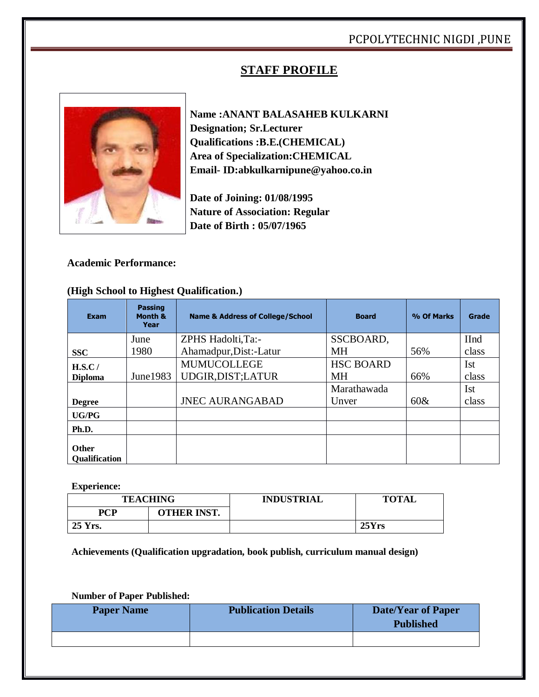## PCPOLYTECHNIC NIGDI ,PUNE

## **STAFF PROFILE**



**Name :ANANT BALASAHEB KULKARNI Designation; Sr.Lecturer Qualifications :B.E.(CHEMICAL) Area of Specialization:CHEMICAL Email- ID:abkulkarnipune@yahoo.co.in**

**Date of Joining: 01/08/1995 Nature of Association: Regular Date of Birth : 05/07/1965**

#### **Academic Performance:**

#### **(High School to Highest Qualification.)**

| <b>Exam</b>                          | <b>Passing</b><br>Month &<br>Year | <b>Name &amp; Address of College/School</b> | <b>Board</b>     | % Of Marks | Grade       |
|--------------------------------------|-----------------------------------|---------------------------------------------|------------------|------------|-------------|
|                                      | June                              | ZPHS Hadolti, Ta:-                          | SSCBOARD,        |            | <b>IInd</b> |
| <b>SSC</b>                           | 1980                              | Ahamadpur, Dist:-Latur                      | <b>MH</b>        | 56%        | class       |
| H.S.C/                               |                                   | <b>MUMUCOLLEGE</b>                          | <b>HSC BOARD</b> |            | <b>Ist</b>  |
| <b>Diploma</b>                       | June $1983$                       | UDGIR, DIST; LATUR                          | <b>MH</b>        | 66%        | class       |
|                                      |                                   |                                             | Marathawada      |            | Ist         |
| <b>Degree</b>                        |                                   | <b>JNEC AURANGABAD</b>                      | Unver            | $60\&$     | class       |
| <b>UG/PG</b>                         |                                   |                                             |                  |            |             |
| Ph.D.                                |                                   |                                             |                  |            |             |
| <b>Other</b><br><b>Oualification</b> |                                   |                                             |                  |            |             |

**Experience:**

|            | <b>TEACHING</b>    | <b>INDUSTRIAL</b> | <b>TOTAL</b> |
|------------|--------------------|-------------------|--------------|
| <b>PCP</b> | <b>OTHER INST.</b> |                   |              |
| 25 Yrs.    |                    |                   | 25Yrs        |

**Achievements (Qualification upgradation, book publish, curriculum manual design)**

**Number of Paper Published:**

| <b>Paper Name</b> | <b>Publication Details</b> | Date/Year of Paper<br><b>Published</b> |
|-------------------|----------------------------|----------------------------------------|
|                   |                            |                                        |